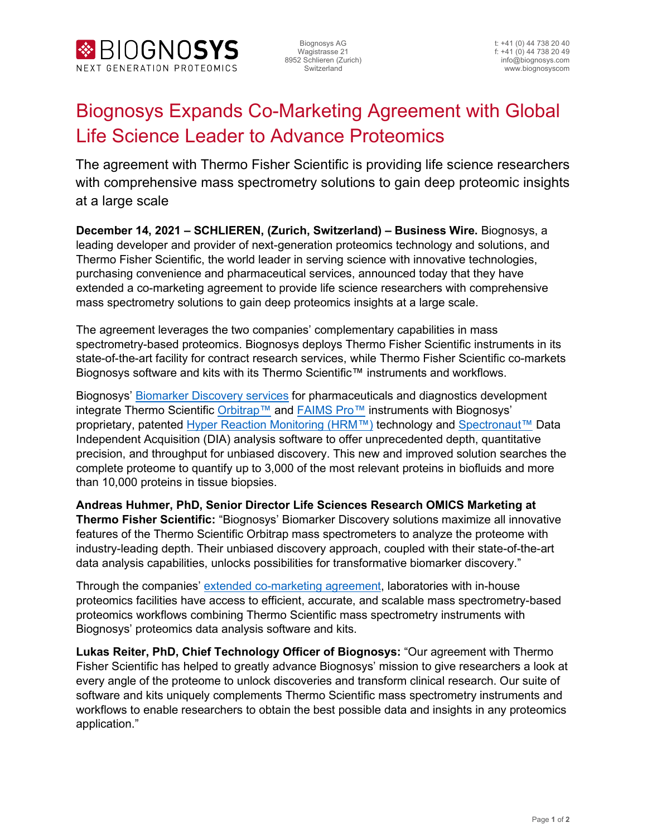

Biognosys AG t: +41 (0) 44 738 20 40

## Biognosys Expands Co-Marketing Agreement with Global Life Science Leader to Advance Proteomics

The agreement with Thermo Fisher Scientific is providing life science researchers with comprehensive mass spectrometry solutions to gain deep proteomic insights at a large scale

**December 14, 2021 – SCHLIEREN, (Zurich, Switzerland) – Business Wire.** Biognosys, a leading developer and provider of next-generation proteomics technology and solutions, and Thermo Fisher Scientific, the world leader in serving science with innovative technologies, purchasing convenience and pharmaceutical services, announced today that they have extended a co-marketing agreement to provide life science researchers with comprehensive mass spectrometry solutions to gain deep proteomics insights at a large scale.

The agreement leverages the two companies' complementary capabilities in mass spectrometry-based proteomics. Biognosys deploys Thermo Fisher Scientific instruments in its state-of-the-art facility for contract research services, while Thermo Fisher Scientific co-markets Biognosys software and kits with its Thermo Scientific™ instruments and workflows.

Biognosys' [Biomarker Discovery services](https://biognosys.com/services/applications/#discovery-proteomics) for pharmaceuticals and diagnostics development integrate Thermo Scientific [Orbitrap™](https://www.thermofisher.com/ch/en/home/industrial/mass-spectrometry/liquid-chromatography-mass-spectrometry-lc-ms/lc-ms-systems/orbitrap-lc-ms/orbitrap-exploris-mass-spectrometers.html) and [FAIMS Pro™](https://www.thermofisher.com/order/catalog/product/FMS02-10001?SID=srch-srp-FMS02-10001) instruments with Biognosys' proprietary, patented [Hyper Reaction Monitoring \(HRM™\)](https://biognosys.com/our-technology/#discovery-proteomics) technology and [Spectronaut™](https://biognosys.com/software/spectronaut/) Data Independent Acquisition (DIA) analysis software to offer unprecedented depth, quantitative precision, and throughput for unbiased discovery. This new and improved solution searches the complete proteome to quantify up to 3,000 of the most relevant proteins in biofluids and more than 10,000 proteins in tissue biopsies.

**Andreas Huhmer, PhD, Senior Director Life Sciences Research OMICS Marketing at Thermo Fisher Scientific:** "Biognosys' Biomarker Discovery solutions maximize all innovative features of the Thermo Scientific Orbitrap mass spectrometers to analyze the proteome with industry-leading depth. Their unbiased discovery approach, coupled with their state-of-the-art data analysis capabilities, unlocks possibilities for transformative biomarker discovery."

Through the companies' [extended co-marketing agreement,](https://thermofisher.mediaroom.com/2021-11-15-Thermo-Fisher-Scientific-Advances-Proteomics-Through-Select-Collaborations-and-New-Analytical-Instrument-Solutions) laboratories with in-house proteomics facilities have access to efficient, accurate, and scalable mass spectrometry-based proteomics workflows combining Thermo Scientific mass spectrometry instruments with Biognosys' proteomics data analysis software and kits.

**Lukas Reiter, PhD, Chief Technology Officer of Biognosys:** "Our agreement with Thermo Fisher Scientific has helped to greatly advance Biognosys' mission to give researchers a look at every angle of the proteome to unlock discoveries and transform clinical research. Our suite of software and kits uniquely complements Thermo Scientific mass spectrometry instruments and workflows to enable researchers to obtain the best possible data and insights in any proteomics application."